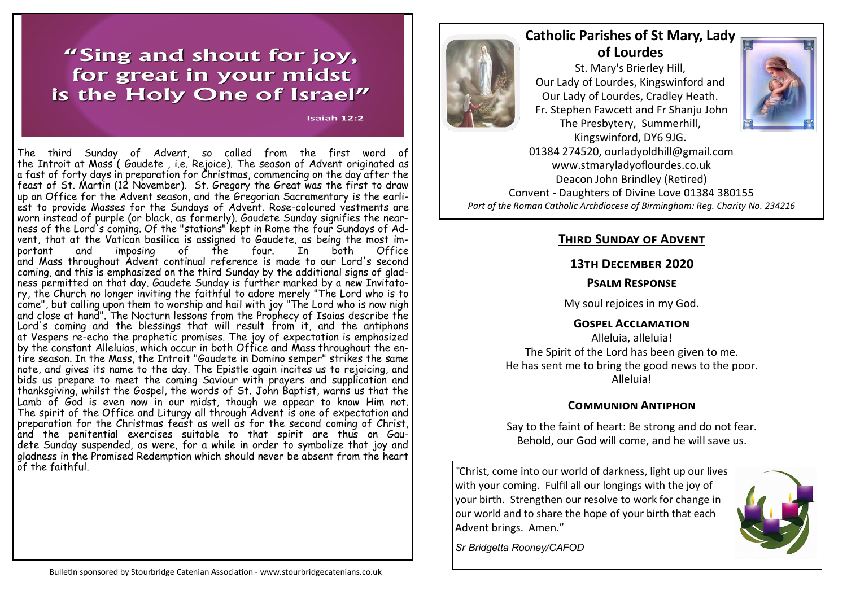# "Sing and shout for joy, for great in your midst is the Holy One of Israel"

Isaiah 12:2

The third [Sunday](https://www.catholic.org/encyclopedia/view.php?id=11155) of Advent, so called from the first word of the [Introit](https://www.catholic.org/encyclopedia/view.php?id=6154) at [Mass](https://www.catholic.org/prayers/mass.php) ( Gaudete , i.e. Rejoice). The season of [Advent](https://www.catholic.org/clife/advent/) originated as a [fast](https://www.catholic.org/encyclopedia/view.php?id=4582) of forty days in preparation for Christmas, commencing on the day after the feast of St. [Martin](https://www.catholic.org/encyclopedia/view.php?id=7629) (12 November). St. Gregory the Great was the first to draw up an Office for the [Advent](https://www.catholic.org/clife/advent/) season, and the Gregorian Sacramentary is the earliest to provide Masses for the Sundays of Advent. Rose-coloured [vestments](https://www.catholic.org/encyclopedia/view.php?id=12014) are worn instead of purple (or black, as formerly). Gaudete Sunday signifies the nearness of the Lord's coming. Of the "stations" kept in [Rome](https://www.catholic.org/encyclopedia/view.php?id=10148) the four Sundays of Advent, that at the Vatican [basilica](https://www.catholic.org/encyclopedia/view.php?id=1560) is assigned to Gaudete, as being the most important and imposing of the four. In both Office and [Mass](https://www.catholic.org/prayers/mass.php) throughout [Advent](https://www.catholic.org/clife/advent/) continual reference is made to our Lord's second coming, and this is emphasized on the third [Sunday](https://www.catholic.org/encyclopedia/view.php?id=11155) by the additional signs of gladness permitted on that day. Gaudete [Sunday](https://www.catholic.org/encyclopedia/view.php?id=11155) is further marked by a new Invitatory, the Church no longer inviting the faithful to adore merely "The [Lord](https://www.catholic.org/encyclopedia/view.php?id=5217) who is to come", but calling upon them to worship and hail with joy "The [Lord](https://www.catholic.org/encyclopedia/view.php?id=5217) who is now nigh and close at hand". The Nocturn lessons from the [Prophecy](https://www.catholic.org/encyclopedia/view.php?id=9674) of [Isaias](https://www.catholic.org/encyclopedia/view.php?id=6193) describe the Lord's coming and the blessings that [will](https://www.catholic.org/encyclopedia/view.php?id=12332) result from it, and the antiphons at [Vespers](https://www.catholic.org/encyclopedia/view.php?id=12008) re-echo the prophetic promises. The joy of expectation is emphasized by the constant Alleluias, which occur in both Office and [Mass](https://www.catholic.org/prayers/mass.php) throughout the entire season. In the Mass, the [Introit](https://www.catholic.org/encyclopedia/view.php?id=6154) "Gaudete in Domino semper" strikes the same note, and gives its name to the day. The Epistle again incites us to rejoicing, and bids us prepare to meet the coming Saviour with [prayers](https://www.catholic.org/prayers) and supplication and thanksgiving, whilst the Gospel, the words of [St. John](https://www.catholic.org/saints/saint.php?saint_id=3907) Baptist, warns us that the Lamb of [God](https://www.catholic.org/encyclopedia/view.php?id=5217) is even now in our midst, though we appear to know Him not. The [spirit](https://www.catholic.org/encyclopedia/view.php?id=11004) of the Office and [Liturgy](https://www.catholic.org/encyclopedia/view.php?id=7159) all through [Advent](https://www.catholic.org/clife/advent/) is one of expectation and preparation for the [Christmas](https://www.catholic.org/clife/advent/index.php?id=22) feast as well as for the second coming of Christ, and the penitential exercises suitable to that [spirit](https://www.catholic.org/encyclopedia/view.php?id=11004) are thus on Gaudete [Sunday](https://www.catholic.org/encyclopedia/view.php?id=11155) suspended, as were, for a while in order to symbolize that joy and gladness in the Promised [Redemption](https://www.catholic.org/encyclopedia/view.php?id=9887) which should never be absent from the heart of the faithful.



# **Catholic Parishes of St Mary, Lady of Lourdes**

St. Mary's Brierley Hill, Our Lady of Lourdes, Kingswinford and Our Lady of Lourdes, Cradley Heath. Fr. Stephen Fawcett and Fr Shanju John The Presbytery, Summerhill, Kingswinford, DY6 9JG.



01384 274520, ourladyoldhill@gmail.com www.stmaryladyoflourdes.co.uk Deacon John Brindley (Retired) Convent - Daughters of Divine Love 01384 380155 *Part of the Roman Catholic Archdiocese of Birmingham: Reg. Charity No. 234216*

## **Third Sunday of Advent**

## **13th December 2020**

#### **Psalm Response**

My soul rejoices in my God.

#### **Gospel Acclamation**

Alleluia, alleluia! The Spirit of the Lord has been given to me. He has sent me to bring the good news to the poor. Alleluia!

# **Communion Antiphon**

Say to the faint of heart: Be strong and do not fear. Behold, our God will come, and he will save us.

*"*Christ, come into our world of darkness, light up our lives with your coming. Fulfil all our longings with the joy of your birth. Strengthen our resolve to work for change in our world and to share the hope of your birth that each Advent brings. Amen."